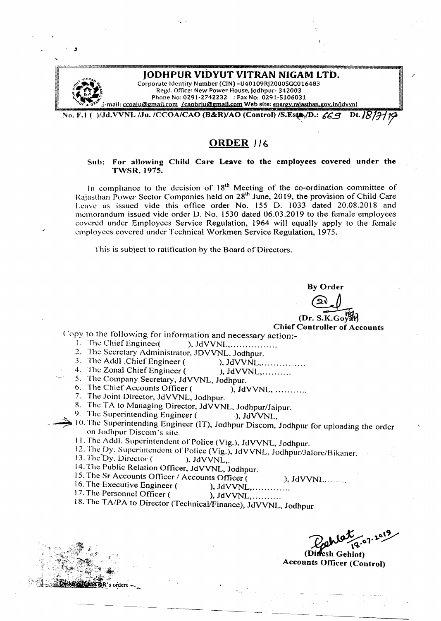| <b>IODHPUR VIDYUT VITRAN NIGAM LTD.</b>                                              |
|--------------------------------------------------------------------------------------|
| Corporate Identity Number (CIN) - U40109RJ2000SGC016483                              |
| Regd. Office: New Power House, Jodhpur-342003                                        |
| Phone No: 0291-2742232 : Fax No: 0291-5106031                                        |
| 3-mail: ccoalu@gmail.com /caobriu@gmail.com Web site: energy,rajasthan.gov.in/jdvynl |
| No. F.1 ()/Jd.VVNL /Ju. /CCOA/CAO (B&R)/AO (Control) /S.Est, D.: $69$                |

# **ORDER]** *16*

# Sub: For allowing Child Care Leave to the employees covered under the TWSR,1975.

In compliance to the decision of  $18<sup>th</sup>$  Meeting of the co-ordination committee of Rajasthan Power Sector Companies held on 28<sup>th</sup> June, 2019, the provision of Child Care Leave as issued vide this office order No. 155 D. 1033 dated 20.08.2018 and memorandum issued vide order D. No. 1530 dated 06.03.2019 to the female employees covered under Employees Service Regulation, 1964 will equally apply to the female employees covered under Technical Workmen Service Regulation, 1975.

This is subject to ratification by the Board of Directors.

By Order ~

(Dr. S.K.Go}%3 Chief Controller of Accounts

- Copy to the following for information and necessary action:-
	- ), JdVVNL, ... .. . . . . . . . . . . . . .
	- 2. The Secretary Administrator, JDVVNL. Jodhpur.
	- 3. The Addl .Chief Engineer ( ), JdVVNL, ... ... ... ........

J

- 4. The Zonal Chief Engineer ( ), JdVVNL, ... ... ...
- 5. The Company Secretary, JdVVNL, Jodhpur.
- 6. The Chief Accounts Officer ( ), JdVVNL, ..........
	- 7. The Joint Director, JdVVNL, Jodhpur.
	- 8. The TA to Managing Director, JdVVNL, Jodhpur/Jaipur.
- 9. The Superintending Engineer ( $\overrightarrow{\ }$ ), JdVVNL,
- $\rightarrow$  10. The Superintending Engineer (IT), Jodhpur Discom, Jodhpur for uploading the order on Jodhpur Discom's site.  $\qquad \qquad$   $\qquad$   $\qquad$   $\qquad$   $\qquad$   $\qquad$   $\qquad$   $\qquad$   $\qquad$   $\qquad$   $\qquad$   $\qquad$   $\qquad$   $\qquad$   $\qquad$   $\qquad$   $\qquad$   $\qquad$   $\qquad$   $\qquad$   $\qquad$   $\qquad$   $\qquad$   $\qquad$   $\qquad$   $\qquad$   $\qquad$   $\qquad$   $\qquad$   $\qquad$   $\qquad$   $\qquad$ 
	- 11. The Addl. Superintendent of Police (Vig.), JdVVNL, Jodhpur.
	- 12. I he Dy. Superintendent of Police (Vig.), JdVVNL, Jodhpur/Jalore/Bik
	- 13. The "by. Director ( ), JdVVNL,. .
	- 14. The Public Relation Officer, JdVVNL, Jodhpur.
	- 15. The Sr Accounts Officer / Accounts Officer ( ), JdVVNL, ......
	- 16. The Executive Engineer ( ), JdVVNL,  $\ldots$  ...
	- 17. The Personnel Officer  $($  ), JdVVNL, .........

18. The *TAlPA* to Director (Technical/Finance), JdVVNL, Jodhpur

(Diffesh Gehlot) **Accounts Officer (Control)**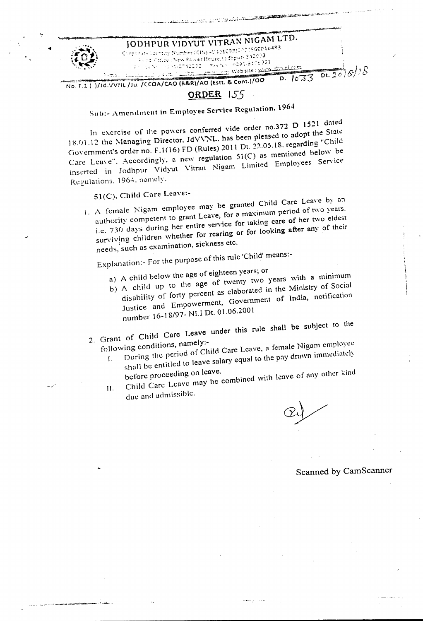

Sub:- Amendment in Employee Service Regulation, 1964

In exercise of the powers conferred vide order no.372 D 1521 dated 18.01.12 the Managing Director, JdVVNL, has been pleased to adopt the State Government's order no. F.1(16) FD (Rules) 2011 Dt. 22.05.18, regarding "Child Care Leave". Accordingly, a new regulation  $51(C)$  as mentioned below be inserted in Jodhpur Vidyut Vitran Nigam Limited Employees Service Regulations, 1964, namely.

51(C), Child Care Leave:-

".

-- ..'

1. A female Nigam employee may be granted Child Care Leave by an authority competent to grant Leave, for a maximum period of two years. i.e. 730 days during her entire service for taking care of her two eldest surviving children whether for rearing or for looking after any of their needs,' such as examination, sickness etc.

Explanation:- for the purpose of this rule 'Child' means:-

- 
- a) A child below the age of eighteen years; or
	- b) A child up to the age of twenty two years with a minimum disability of forty percent as elaborated in the Ministry of Social Justice and Empowerment, Government of India, notification number *16-18/97-* NI.l Dt. 01.06.2001
- 2. Grant of Child Care Leave under this rule shall be subject to the

following conditions, namely:-<br>[. During the period of Child Care Leave, a female Nigam employee

- shall be entitled to leave salary equal to the pay drawn immediately I. before proceeding on leave.
- Child Care Leave may be combined with leave of any other kind II.
	- due and admissible.

Scanned by CamScanner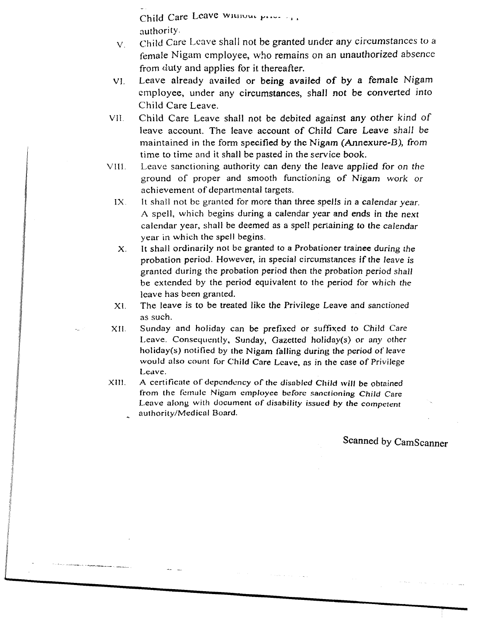Child Care Leave Willium price - ... authority.

- *v .* Child Care Leave shall not be granted under any circumstances to <sup>a</sup> female Nigam employee, who remains on an unauthorized absence from duty and applies for it thereafter.
- VI. Leave already availed or being availed of by a female Nigam employee, under any circumstances, shall not be converted into Child Care Leave.
- Vll. Child Care Leave shall not be debited against any other kind of leave account. The leave account of Child Care Leave *shall* be maintained in the form specified by the Nigam (Annexure-B), *from* time to time and it shall be pasted in the service book.
- VIII. Leave sanctioning authority can deny the leave applied for *on* the ground of proper and smooth functioning of Nigam work or achievement of departmental targets.
	- IX. It shall not be granted for more than three spells in a calendar year. A spell, which begins during a calendar year and ends in the next calendar year, shall be deemed as a spell pertaining to the *calendar* year in which the spell begins.
	- X. It shall ordinarily not be granted to a Probationer trainee *during* the probation period. However, in special circumstances if the *leave* is granted during the probation period then the probation period *shall* be extended by the period equivalent to the period for which *the* leave has been granted.
	- XL The leave is to be treated like *the* Privilege Leave and sanctioned as such.

XII. Sunday and holiday can be prefixed or suffixed to Child *Care* Leave. Consequently, Sunday, Gazetted holiday(s) or any other holiday(s) notified by the Nigam falling during the period of leave would also count for Child Care Leave, as in the case of Privilege Leave.

XIII. A certificate of dependency of the disabled Child will be obtained from the female Nigam employee before sanctioning *Child* Care Leave along with document of disability issued by the competent authority/Medical Board.

Scanned by CamScanner